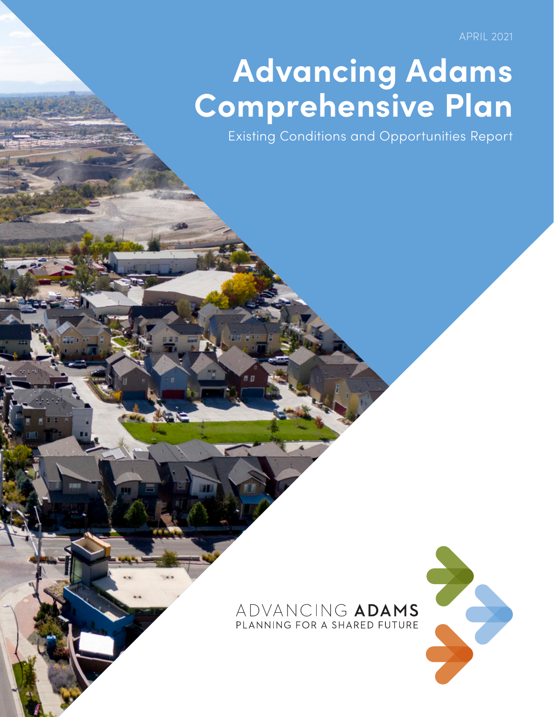APRIL 2021

## **Advancing Adams Comprehensive Plan**

Existing Conditions and Opportunities Report

## ADVANCING ADAMS PLANNING FOR A SHARED FUTURE